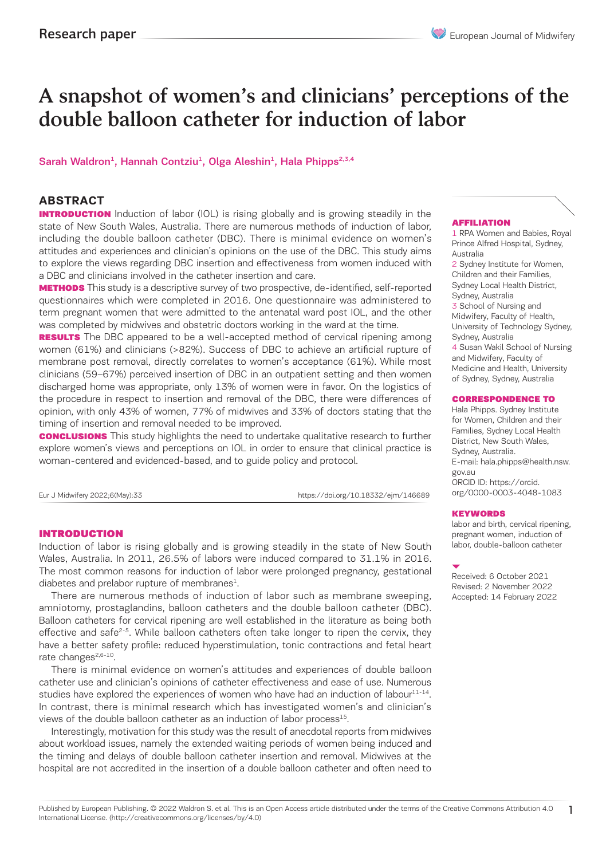# A snapshot of women's and clinicians' perceptions of the double balloon catheter for induction of labor

# Sarah Waldron<sup>1</sup>, Hannah Contziu<sup>1</sup>, Olga Aleshin<sup>1</sup>, Hala Phipps<sup>2,3,4</sup>

# **ABSTRACT**

**INTRODUCTION** Induction of labor (IOL) is rising globally and is growing steadily in the state of New South Wales, Australia. There are numerous methods of induction of labor, including the double balloon catheter (DBC). There is minimal evidence on women's attitudes and experiences and clinician's opinions on the use of the DBC. This study aims to explore the views regarding DBC insertion and effectiveness from women induced with a DBC and clinicians involved in the catheter insertion and care.

**METHODS** This study is a descriptive survey of two prospective, de-identified, self-reported questionnaires which were completed in 2016. One questionnaire was administered to term pregnant women that were admitted to the antenatal ward post IOL, and the other was completed by midwives and obstetric doctors working in the ward at the time.

**RESULTS** The DBC appeared to be a well-accepted method of cervical ripening among women (61%) and clinicians (>82%). Success of DBC to achieve an artificial rupture of membrane post removal, directly correlates to women's acceptance (61%). While most clinicians (59–67%) perceived insertion of DBC in an outpatient setting and then women discharged home was appropriate, only 13% of women were in favor. On the logistics of the procedure in respect to insertion and removal of the DBC, there were differences of opinion, with only 43% of women, 77% of midwives and 33% of doctors stating that the timing of insertion and removal needed to be improved.

**CONCLUSIONS** This study highlights the need to undertake qualitative research to further explore women's views and perceptions on IOL in order to ensure that clinical practice is woman-centered and evidenced-based, and to guide policy and protocol.

Eur J Midwifery 2022;6(May):33 https://doi.org/10.18332/ejm/146689

#### INTRODUCTION

Induction of labor is rising globally and is growing steadily in the state of New South Wales, Australia. In 2011, 26.5% of labors were induced compared to 31.1% in 2016. The most common reasons for induction of labor were prolonged pregnancy, gestational diabetes and prelabor rupture of membranes $<sup>1</sup>$ .</sup>

There are numerous methods of induction of labor such as membrane sweeping, amniotomy, prostaglandins, balloon catheters and the double balloon catheter (DBC). Balloon catheters for cervical ripening are well established in the literature as being both effective and safe<sup>2-5</sup>. While balloon catheters often take longer to ripen the cervix, they have a better safety profile: reduced hyperstimulation, tonic contractions and fetal heart rate changes<sup>2,6-10</sup>.

There is minimal evidence on women's attitudes and experiences of double balloon catheter use and clinician's opinions of catheter effectiveness and ease of use. Numerous studies have explored the experiences of women who have had an induction of labour $11-14$ . In contrast, there is minimal research which has investigated women's and clinician's views of the double balloon catheter as an induction of labor process<sup>15</sup>.

Interestingly, motivation for this study was the result of anecdotal reports from midwives about workload issues, namely the extended waiting periods of women being induced and the timing and delays of double balloon catheter insertion and removal. Midwives at the hospital are not accredited in the insertion of a double balloon catheter and often need to

#### AFFILIATION

1 RPA Women and Babies, Royal Prince Alfred Hospital, Sydney, Australia

2 Sydney Institute for Women, Children and their Families, Sydney Local Health District, Sydney, Australia 3 School of Nursing and Midwifery, Faculty of Health, University of Technology Sydney, Sydney, Australia

4 Susan Wakil School of Nursing and Midwifery, Faculty of Medicine and Health, University of Sydney, Sydney, Australia

#### CORRESPONDENCE TO

Hala Phipps. Sydney Institute for Women, Children and their Families, Sydney Local Health District, New South Wales, Sydney, Australia. E-mail: hala.phipps@health.nsw. gov.au ORCID ID: https://orcid. org/0000-0003-4048-1083

#### **KEYWORDS**

labor and birth, cervical ripening, pregnant women, induction of labor, double-balloon catheter

Received: 6 October 2021 Revised: 2 November 2022 Accepted: 14 February 2022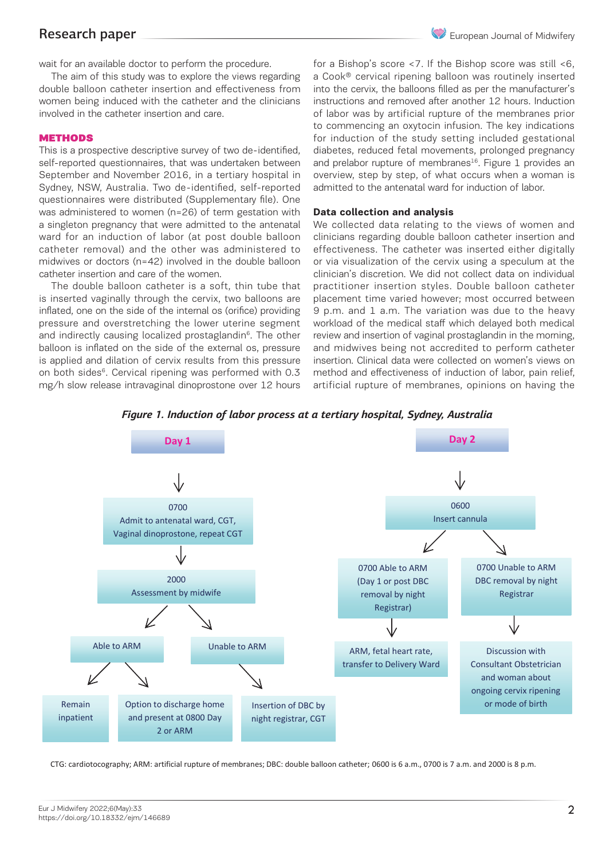# Research paper

wait for an available doctor to perform the procedure.

The aim of this study was to explore the views regarding double balloon catheter insertion and effectiveness from women being induced with the catheter and the clinicians involved in the catheter insertion and care.

### **METHODS**

This is a prospective descriptive survey of two de-identified, self-reported questionnaires, that was undertaken between September and November 2016, in a tertiary hospital in Sydney, NSW, Australia. Two de-identified, self-reported questionnaires were distributed (Supplementary file). One was administered to women (n=26) of term gestation with a singleton pregnancy that were admitted to the antenatal ward for an induction of labor (at post double balloon catheter removal) and the other was administered to midwives or doctors (n=42) involved in the double balloon catheter insertion and care of the women.

The double balloon catheter is a soft, thin tube that is inserted vaginally through the cervix, two balloons are inflated, one on the side of the internal os (orifice) providing pressure and overstretching the lower uterine segment workload of the medical staff which and indirectly causing localized prostaglandin<sup>6</sup>. The other review and insertion of vaginal prostaglandin in<br>1. The members of members and overview of the step by step by step by step by step in the step of the step of balloon is inflated on the side of the external os, pressure is applied and dilation of cervix results from this pressure insertion. Clinical data were collected c on both sides $6$ . Cervical ripening was performed with 0.3 mg/h slow release intravaginal dinoprostone over 12 hours

for a Bishop's score <7. If the Bishop score was still <6, a Cook® cervical ripening balloon was routinely inserted into the cervix, the balloons filled as per the manufacturer's instructions and removed after another 12 hours. Induction of labor was by artificial rupture of the membranes prior to commencing an oxytocin infusion. The key indications for induction of the study setting included gestational diabetes, reduced fetal movements, prolonged pregnancy and prelabor rupture of membranes<sup>16</sup>. Figure 1 provides an overview, step by step, of what occurs when a woman is admitted to the antenatal ward for induction of labor.

#### **Data collection and analysis**

We collected data relating to the views of women and clinicians regarding double balloon catheter insertion and effectiveness. The catheter was inserted either digitally or via visualization of the cervix using a speculum at the clinician's discretion. We did not collect data on individual practitioner insertion styles. Double balloon catheter placement time varied however; most occurred between 9 p.m. and 1 a.m. The variation was due to the heavy workload of the medical staff which delayed both medical review and insertion of vaginal prostaglandin in the morning, and midwives being not accredited to perform catheter insertion. Clinical data were collected on women's views on method and effectiveness of induction of labor, pain relief, artificial rupture of membranes, opinions on having the



*Figure 1. Induction of labor process at a tertiary hospital, Sydney, Australia*

CTG: cardiotocography; ARM: artificial rupture of membranes; DBC: double balloon catheter; 0600 is 6 a.m., 0700 is 7 a.m. and 2000 is 8 p.m.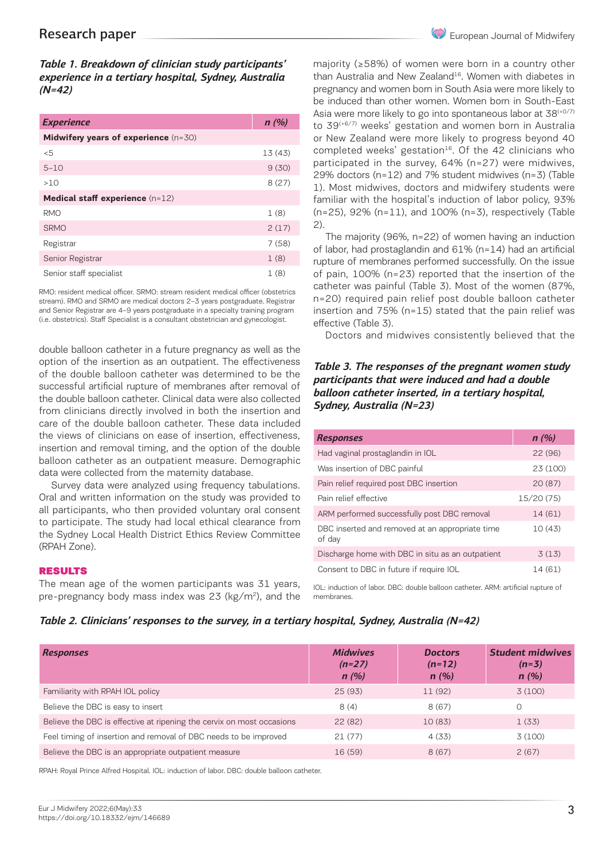*Table 1. Breakdown of clinician study participants' experience in a tertiary hospital, Sydney, Australia (N=42)*

| <b>Experience</b>                    | n(%)    |
|--------------------------------------|---------|
| Midwifery years of experience (n=30) |         |
| < 5                                  | 13 (43) |
| $5 - 10$                             | 9(30)   |
| >10                                  | 8(27)   |
| Medical staff experience (n=12)      |         |
| <b>RMO</b>                           | 1(8)    |
| <b>SRMO</b>                          | 2(17)   |
| Registrar                            | 7(58)   |
| Senior Registrar                     | 1(8)    |
| Senior staff specialist              | 1(8)    |

RMO: resident medical officer. SRMO: stream resident medical officer (obstetrics stream). RMO and SRMO are medical doctors 2–3 years postgraduate. Registrar and Senior Registrar are 4–9 years postgraduate in a specialty training program (i.e. obstetrics). Staff Specialist is a consultant obstetrician and gynecologist.

double balloon catheter in a future pregnancy as well as the option of the insertion as an outpatient. The effectiveness of the double balloon catheter was determined to be the successful artificial rupture of membranes after removal of the double balloon catheter. Clinical data were also collected from clinicians directly involved in both the insertion and care of the double balloon catheter. These data included the views of clinicians on ease of insertion, effectiveness, insertion and removal timing, and the option of the double balloon catheter as an outpatient measure. Demographic data were collected from the maternity database.

Survey data were analyzed using frequency tabulations. Oral and written information on the study was provided to all participants, who then provided voluntary oral consent to participate. The study had local ethical clearance from the Sydney Local Health District Ethics Review Committee (RPAH Zone).

#### RESULTS

The mean age of the women participants was 31 years, pre-pregnancy body mass index was 23 (kg/m<sup>2</sup>), and the

majority (≥58%) of women were born in a country other than Australia and New Zealand<sup>16</sup>. Women with diabetes in pregnancy and women born in South Asia were more likely to be induced than other women. Women born in South-East Asia were more likely to go into spontaneous labor at 38<sup>(+0/7)</sup> to 39(+6/7) weeks' gestation and women born in Australia or New Zealand were more likely to progress beyond 40 completed weeks' gestation<sup>16</sup>. Of the 42 clinicians who participated in the survey, 64% (n=27) were midwives, 29% doctors (n=12) and 7% student midwives (n=3) (Table 1). Most midwives, doctors and midwifery students were familiar with the hospital's induction of labor policy, 93% (n=25), 92% (n=11), and 100% (n=3), respectively (Table 2).

The majority (96%, n=22) of women having an induction of labor, had prostaglandin and 61% (n=14) had an artificial rupture of membranes performed successfully. On the issue of pain, 100% (n=23) reported that the insertion of the catheter was painful (Table 3). Most of the women (87%, n=20) required pain relief post double balloon catheter insertion and 75% (n=15) stated that the pain relief was effective (Table 3).

Doctors and midwives consistently believed that the

### *Table 3. The responses of the pregnant women study participants that were induced and had a double balloon catheter inserted, in a tertiary hospital, Sydney, Australia (N=23)*

| <b>Responses</b>                                          | n(%)       |
|-----------------------------------------------------------|------------|
| Had vaginal prostaglandin in IOL                          | 22(96)     |
| Was insertion of DBC painful                              | 23 (100)   |
| Pain relief required post DBC insertion                   | 20(87)     |
| Pain relief effective                                     | 15/20 (75) |
| ARM performed successfully post DBC removal               | 14 (61)    |
| DBC inserted and removed at an appropriate time<br>of day | 10(43)     |
| Discharge home with DBC in situ as an outpatient          | 3(13)      |
| Consent to DBC in future if require IOL                   | 14 (61)    |

IOL: induction of labor. DBC: double balloon catheter. ARM: artificial rupture of membranes.

### *Table 2. Clinicians' responses to the survey, in a tertiary hospital, Sydney, Australia (N=42)*

| <b>Responses</b>                                                      | <b>Midwives</b><br>$(n=27)$<br>n(%) | <b>Doctors</b><br>$(n=12)$<br>n(%) | <b>Student midwives</b><br>$(n=3)$<br>n(%) |
|-----------------------------------------------------------------------|-------------------------------------|------------------------------------|--------------------------------------------|
| Familiarity with RPAH IOL policy                                      | 25(93)                              | 11 (92)                            | 3(100)                                     |
| Believe the DBC is easy to insert                                     | 8(4)                                | 8(67)                              | Ω                                          |
| Believe the DBC is effective at ripening the cervix on most occasions | 22(82)                              | 10 (83)                            | 1(33)                                      |
| Feel timing of insertion and removal of DBC needs to be improved      | 21(77)                              | 4(33)                              | 3(100)                                     |
| Believe the DBC is an appropriate outpatient measure                  | 16 (59)                             | 8(67)                              | 2(67)                                      |

RPAH: Royal Prince Alfred Hospital. IOL: induction of labor. DBC: double balloon catheter.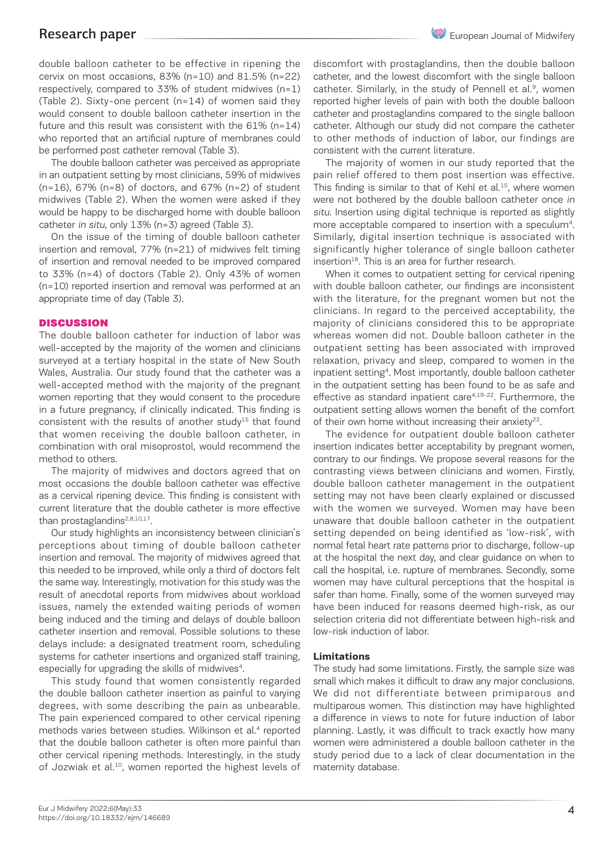double balloon catheter to be effective in ripening the cervix on most occasions, 83% (n=10) and 81.5% (n=22) respectively, compared to 33% of student midwives (n=1) (Table 2). Sixty-one percent (n=14) of women said they would consent to double balloon catheter insertion in the future and this result was consistent with the 61% (n=14) who reported that an artificial rupture of membranes could be performed post catheter removal (Table 3).

The double balloon catheter was perceived as appropriate in an outpatient setting by most clinicians, 59% of midwives (n=16), 67% (n=8) of doctors, and 67% (n=2) of student midwives (Table 2). When the women were asked if they would be happy to be discharged home with double balloon catheter in situ, only 13% (n=3) agreed (Table 3).

On the issue of the timing of double balloon catheter insertion and removal, 77% (n=21) of midwives felt timing of insertion and removal needed to be improved compared to 33% (n=4) of doctors (Table 2). Only 43% of women (n=10) reported insertion and removal was performed at an appropriate time of day (Table 3).

### **DISCUSSION**

The double balloon catheter for induction of labor was well-accepted by the majority of the women and clinicians surveyed at a tertiary hospital in the state of New South Wales, Australia. Our study found that the catheter was a well-accepted method with the majority of the pregnant women reporting that they would consent to the procedure in a future pregnancy, if clinically indicated. This finding is consistent with the results of another study $15$  that found that women receiving the double balloon catheter, in combination with oral misoprostol, would recommend the method to others.

The majority of midwives and doctors agreed that on most occasions the double balloon catheter was effective as a cervical ripening device. This finding is consistent with current literature that the double catheter is more effective than prostaglandins<sup>2,8,10,17</sup>.

Our study highlights an inconsistency between clinician's perceptions about timing of double balloon catheter insertion and removal. The majority of midwives agreed that this needed to be improved, while only a third of doctors felt the same way. Interestingly, motivation for this study was the result of anecdotal reports from midwives about workload issues, namely the extended waiting periods of women being induced and the timing and delays of double balloon catheter insertion and removal. Possible solutions to these delays include: a designated treatment room, scheduling systems for catheter insertions and organized staff training, especially for upgrading the skills of midwives<sup>4</sup>.

This study found that women consistently regarded the double balloon catheter insertion as painful to varying degrees, with some describing the pain as unbearable. The pain experienced compared to other cervical ripening methods varies between studies. Wilkinson et al.<sup>4</sup> reported that the double balloon catheter is often more painful than other cervical ripening methods. Interestingly, in the study of Jozwiak et al.<sup>10</sup>, women reported the highest levels of

discomfort with prostaglandins, then the double balloon catheter, and the lowest discomfort with the single balloon catheter. Similarly, in the study of Pennell et al.<sup>9</sup>, women reported higher levels of pain with both the double balloon catheter and prostaglandins compared to the single balloon catheter. Although our study did not compare the catheter to other methods of induction of labor, our findings are consistent with the current literature.

The majority of women in our study reported that the pain relief offered to them post insertion was effective. This finding is similar to that of Kehl et al.<sup>15</sup>, where women were not bothered by the double balloon catheter once in situ. Insertion using digital technique is reported as slightly more acceptable compared to insertion with a speculum<sup>4</sup>. Similarly, digital insertion technique is associated with significantly higher tolerance of single balloon catheter insertion<sup>18</sup>. This is an area for further research.

When it comes to outpatient setting for cervical ripening with double balloon catheter, our findings are inconsistent with the literature, for the pregnant women but not the clinicians. In regard to the perceived acceptability, the majority of clinicians considered this to be appropriate whereas women did not. Double balloon catheter in the outpatient setting has been associated with improved relaxation, privacy and sleep, compared to women in the inpatient setting4. Most importantly, double balloon catheter in the outpatient setting has been found to be as safe and effective as standard inpatient care<sup>4,19-22</sup>. Furthermore, the outpatient setting allows women the benefit of the comfort of their own home without increasing their anxiety<sup>23</sup>.

The evidence for outpatient double balloon catheter insertion indicates better acceptability by pregnant women, contrary to our findings. We propose several reasons for the contrasting views between clinicians and women. Firstly, double balloon catheter management in the outpatient setting may not have been clearly explained or discussed with the women we surveyed. Women may have been unaware that double balloon catheter in the outpatient setting depended on being identified as 'low-risk', with normal fetal heart rate patterns prior to discharge, follow-up at the hospital the next day, and clear guidance on when to call the hospital, i.e. rupture of membranes. Secondly, some women may have cultural perceptions that the hospital is safer than home. Finally, some of the women surveyed may have been induced for reasons deemed high-risk, as our selection criteria did not differentiate between high-risk and low-risk induction of labor.

# **Limitations**

The study had some limitations. Firstly, the sample size was small which makes it difficult to draw any major conclusions. We did not differentiate between primiparous and multiparous women. This distinction may have highlighted a difference in views to note for future induction of labor planning. Lastly, it was difficult to track exactly how many women were administered a double balloon catheter in the study period due to a lack of clear documentation in the maternity database.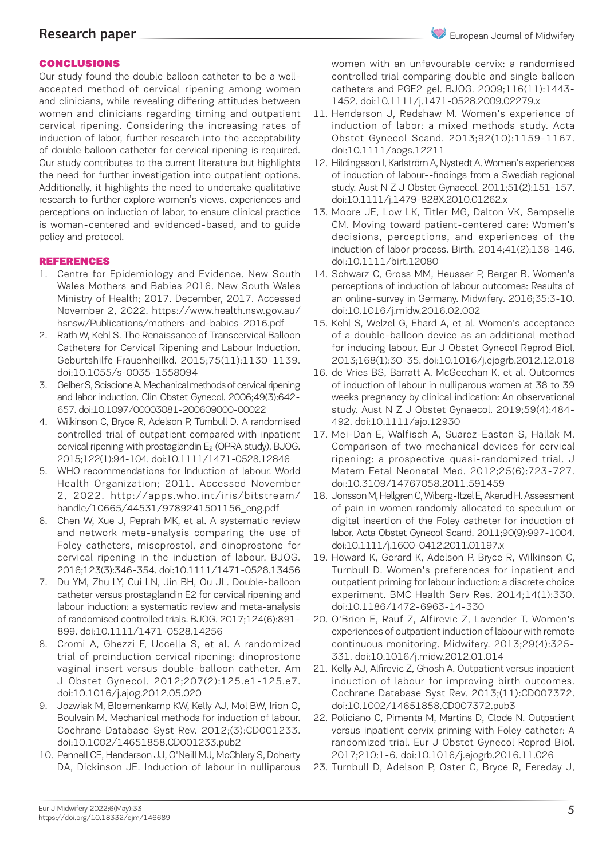# Research paper

# CONCLUSIONS

Our study found the double balloon catheter to be a wellaccepted method of cervical ripening among women and clinicians, while revealing differing attitudes between women and clinicians regarding timing and outpatient cervical ripening. Considering the increasing rates of induction of labor, further research into the acceptability of double balloon catheter for cervical ripening is required. Our study contributes to the current literature but highlights the need for further investigation into outpatient options. Additionally, it highlights the need to undertake qualitative research to further explore women's views, experiences and perceptions on induction of labor, to ensure clinical practice is woman-centered and evidenced-based, and to guide policy and protocol.

# REFERENCES

- 1. Centre for Epidemiology and Evidence. New South Wales Mothers and Babies 2016. New South Wales Ministry of Health; 2017. December, 2017. Accessed November 2, 2022. https://www.health.nsw.gov.au/ hsnsw/Publications/mothers-and-babies-2016.pdf
- 2. Rath W, Kehl S. The Renaissance of Transcervical Balloon Catheters for Cervical Ripening and Labour Induction. Geburtshilfe Frauenheilkd. 2015;75(11):1130-1139. doi:10.1055/s-0035-1558094
- 3. Gelber S, Sciscione A. Mechanical methods of cervical ripening and labor induction. Clin Obstet Gynecol. 2006;49(3):642- 657. doi:10.1097/00003081-200609000-00022
- 4. Wilkinson C, Bryce R, Adelson P, Turnbull D. A randomised controlled trial of outpatient compared with inpatient cervical ripening with prostaglandin E₂ (OPRA study). BJOG. 2015;122(1):94-104. doi:10.1111/1471-0528.12846
- 5. WHO recommendations for Induction of labour. World Health Organization; 2011. Accessed November 2, 2022. http://apps.who.int/iris/bitstream/ handle/10665/44531/9789241501156\_eng.pdf
- 6. Chen W, Xue J, Peprah MK, et al. A systematic review and network meta-analysis comparing the use of Foley catheters, misoprostol, and dinoprostone for cervical ripening in the induction of labour. BJOG. 2016;123(3):346-354. doi:10.1111/1471-0528.13456
- 7. Du YM, Zhu LY, Cui LN, Jin BH, Ou JL. Double-balloon catheter versus prostaglandin E2 for cervical ripening and labour induction: a systematic review and meta-analysis of randomised controlled trials. BJOG. 2017;124(6):891- 899. doi:10.1111/1471-0528.14256
- 8. Cromi A, Ghezzi F, Uccella S, et al. A randomized trial of preinduction cervical ripening: dinoprostone vaginal insert versus double-balloon catheter. Am J Obstet Gynecol. 2012;207(2):125.e1-125.e7. doi:10.1016/j.ajog.2012.05.020
- 9. Jozwiak M, Bloemenkamp KW, Kelly AJ, Mol BW, Irion O, Boulvain M. Mechanical methods for induction of labour. Cochrane Database Syst Rev. 2012;(3):CD001233. doi:10.1002/14651858.CD001233.pub2
- 10. Pennell CE, Henderson JJ, O'Neill MJ, McChlery S, Doherty DA, Dickinson JE. Induction of labour in nulliparous

women with an unfavourable cervix: a randomised controlled trial comparing double and single balloon catheters and PGE2 gel. BJOG. 2009;116(11):1443- 1452. doi:10.1111/j.1471-0528.2009.02279.x

- 11. Henderson J, Redshaw M. Women's experience of induction of labor: a mixed methods study. Acta Obstet Gynecol Scand. 2013;92(10):1159-1167. doi:10.1111/aogs.12211
- 12. Hildingsson I, Karlström A, Nystedt A. Women's experiences of induction of labour--findings from a Swedish regional study. Aust N Z J Obstet Gynaecol. 2011;51(2):151-157. doi:10.1111/j.1479-828X.2010.01262.x
- 13. Moore JE, Low LK, Titler MG, Dalton VK, Sampselle CM. Moving toward patient-centered care: Women's decisions, perceptions, and experiences of the induction of labor process. Birth. 2014;41(2):138-146. doi:10.1111/birt.12080
- 14. Schwarz C, Gross MM, Heusser P, Berger B. Women's perceptions of induction of labour outcomes: Results of an online-survey in Germany. Midwifery. 2016;35:3-10. doi:10.1016/j.midw.2016.02.002
- 15. Kehl S, Welzel G, Ehard A, et al. Women's acceptance of a double-balloon device as an additional method for inducing labour. Eur J Obstet Gynecol Reprod Biol. 2013;168(1):30-35. doi:10.1016/j.ejogrb.2012.12.018
- 16. de Vries BS, Barratt A, McGeechan K, et al. Outcomes of induction of labour in nulliparous women at 38 to 39 weeks pregnancy by clinical indication: An observational study. Aust N Z J Obstet Gynaecol. 2019;59(4):484- 492. doi:10.1111/ajo.12930
- 17. Mei-Dan E, Walfisch A, Suarez-Easton S, Hallak M. Comparison of two mechanical devices for cervical ripening: a prospective quasi-randomized trial. J Matern Fetal Neonatal Med. 2012;25(6):723-727. doi:10.3109/14767058.2011.591459
- 18. Jonsson M, Hellgren C, Wiberg-Itzel E, Akerud H. Assessment of pain in women randomly allocated to speculum or digital insertion of the Foley catheter for induction of labor. Acta Obstet Gynecol Scand. 2011;90(9):997-1004. doi:10.1111/j.1600-0412.2011.01197.x
- 19. Howard K, Gerard K, Adelson P, Bryce R, Wilkinson C, Turnbull D. Women's preferences for inpatient and outpatient priming for labour induction: a discrete choice experiment. BMC Health Serv Res. 2014;14(1):330. doi:10.1186/1472-6963-14-330
- 20. O'Brien E, Rauf Z, Alfirevic Z, Lavender T. Women's experiences of outpatient induction of labour with remote continuous monitoring. Midwifery. 2013;29(4):325- 331. doi:10.1016/j.midw.2012.01.014
- 21. Kelly AJ, Alfirevic Z, Ghosh A. Outpatient versus inpatient induction of labour for improving birth outcomes. Cochrane Database Syst Rev. 2013;(11):CD007372. doi:10.1002/14651858.CD007372.pub3
- 22. Policiano C, Pimenta M, Martins D, Clode N. Outpatient versus inpatient cervix priming with Foley catheter: A randomized trial. Eur J Obstet Gynecol Reprod Biol. 2017;210:1-6. doi:10.1016/j.ejogrb.2016.11.026
- 23. Turnbull D, Adelson P, Oster C, Bryce R, Fereday J,